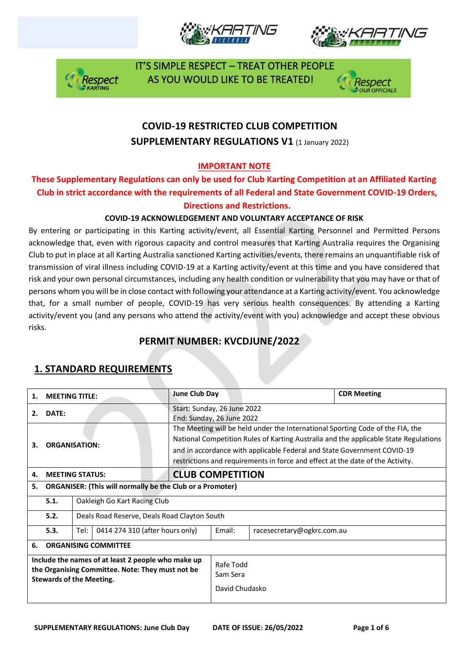







# **COVID-19 RESTRICTED CLUB COMPETITION SUPPLEMENTARY REGULATIONS V1 (1 January 2022)**

## **IMPORTANT NOTE**

## **These Supplementary Regulations can only be used for Club Karting Competition at an Affiliated Karting Club in strict accordance with the requirements of all Federal and State Government COVID-19 Orders, Directions and Restrictions.**

#### **COVID-19 ACKNOWLEDGEMENT AND VOLUNTARY ACCEPTANCE OF RISK**

By entering or participating in this Karting activity/event, all Essential Karting Personnel and Permitted Persons acknowledge that, even with rigorous capacity and control measures that Karting Australia requires the Organising Club to put in place at all Karting Australia sanctioned Karting activities/events, there remains an unquantifiable risk of transmission of viral illness including COVID-19 at a Karting activity/event at this time and you have considered that risk and your own personal circumstances, including any health condition or vulnerability that you may have or that of persons whom you will be in close contact with following your attendance at a Karting activity/event. You acknowledge that, for a small number of people, COVID-19 has very serious health consequences. By attending a Karting activity/event you (and any persons who attend the activity/event with you) acknowledge and accept these obvious risks.

## **PERMIT NUMBER: KVCDJUNE/2022**

| 1.                                                                                                                                        | <b>MEETING TITLE:</b>       |                                              | June Club Day                                                                                                                                                                                                                                                                                                                       |  |                            | <b>CDR Meeting</b> |
|-------------------------------------------------------------------------------------------------------------------------------------------|-----------------------------|----------------------------------------------|-------------------------------------------------------------------------------------------------------------------------------------------------------------------------------------------------------------------------------------------------------------------------------------------------------------------------------------|--|----------------------------|--------------------|
| 2.                                                                                                                                        | DATE:                       |                                              | Start: Sunday, 26 June 2022<br>End: Sunday, 26 June 2022                                                                                                                                                                                                                                                                            |  |                            |                    |
| З.                                                                                                                                        | <b>ORGANISATION:</b>        |                                              | The Meeting will be held under the International Sporting Code of the FIA, the<br>National Competition Rules of Karting Australia and the applicable State Regulations<br>and in accordance with applicable Federal and State Government COVID-19<br>restrictions and requirements in force and effect at the date of the Activity. |  |                            |                    |
| 4.                                                                                                                                        | <b>MEETING STATUS:</b>      |                                              | <b>CLUB COMPETITION</b>                                                                                                                                                                                                                                                                                                             |  |                            |                    |
| <b>ORGANISER: (This will normally be the Club or a Promoter)</b><br>5.                                                                    |                             |                                              |                                                                                                                                                                                                                                                                                                                                     |  |                            |                    |
|                                                                                                                                           | 5.1.                        | Oakleigh Go Kart Racing Club                 |                                                                                                                                                                                                                                                                                                                                     |  |                            |                    |
|                                                                                                                                           | 5.2.                        | Deals Road Reserve, Deals Road Clayton South |                                                                                                                                                                                                                                                                                                                                     |  |                            |                    |
|                                                                                                                                           | 5.3.                        | 0414 274 310 (after hours only)<br>Tel:      |                                                                                                                                                                                                                                                                                                                                     |  | racesecretary@ogkrc.com.au |                    |
| 6.                                                                                                                                        | <b>ORGANISING COMMITTEE</b> |                                              |                                                                                                                                                                                                                                                                                                                                     |  |                            |                    |
| Include the names of at least 2 people who make up<br>the Organising Committee. Note: They must not be<br><b>Stewards of the Meeting.</b> |                             |                                              | Rafe Todd<br>Sam Sera<br>David Chudasko                                                                                                                                                                                                                                                                                             |  |                            |                    |

## **1. STANDARD REQUIREMENTS**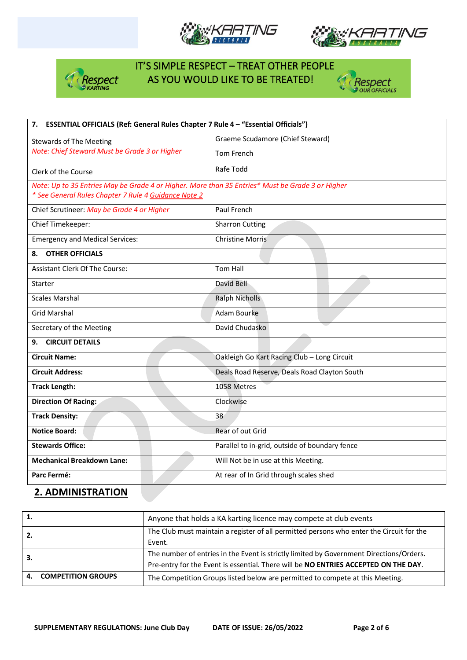







| 7. ESSENTIAL OFFICIALS (Ref: General Rules Chapter 7 Rule 4 - "Essential Officials")                                                                     |                                                |  |  |  |
|----------------------------------------------------------------------------------------------------------------------------------------------------------|------------------------------------------------|--|--|--|
| <b>Stewards of The Meeting</b>                                                                                                                           | Graeme Scudamore (Chief Steward)               |  |  |  |
| Note: Chief Steward Must be Grade 3 or Higher                                                                                                            | Tom French                                     |  |  |  |
| Clerk of the Course                                                                                                                                      | Rafe Todd                                      |  |  |  |
| Note: Up to 35 Entries May be Grade 4 or Higher. More than 35 Entries* Must be Grade 3 or Higher<br>* See General Rules Chapter 7 Rule 4 Guidance Note 2 |                                                |  |  |  |
| Chief Scrutineer: May be Grade 4 or Higher                                                                                                               | Paul French                                    |  |  |  |
| Chief Timekeeper:                                                                                                                                        | <b>Sharron Cutting</b>                         |  |  |  |
| <b>Emergency and Medical Services:</b>                                                                                                                   | <b>Christine Morris</b>                        |  |  |  |
| <b>OTHER OFFICIALS</b><br>8.                                                                                                                             |                                                |  |  |  |
| <b>Assistant Clerk Of The Course:</b>                                                                                                                    | <b>Tom Hall</b>                                |  |  |  |
| Starter                                                                                                                                                  | David Bell                                     |  |  |  |
| <b>Scales Marshal</b>                                                                                                                                    | <b>Ralph Nicholls</b>                          |  |  |  |
| <b>Grid Marshal</b>                                                                                                                                      | Adam Bourke                                    |  |  |  |
| Secretary of the Meeting                                                                                                                                 | David Chudasko                                 |  |  |  |
| <b>CIRCUIT DETAILS</b><br>9.                                                                                                                             |                                                |  |  |  |
| <b>Circuit Name:</b>                                                                                                                                     | Oakleigh Go Kart Racing Club - Long Circuit    |  |  |  |
| <b>Circuit Address:</b>                                                                                                                                  | Deals Road Reserve, Deals Road Clayton South   |  |  |  |
| <b>Track Length:</b>                                                                                                                                     | 1058 Metres                                    |  |  |  |
| <b>Direction Of Racing:</b>                                                                                                                              | Clockwise                                      |  |  |  |
| <b>Track Density:</b>                                                                                                                                    | 38                                             |  |  |  |
| <b>Notice Board:</b>                                                                                                                                     | Rear of out Grid                               |  |  |  |
| <b>Stewards Office:</b>                                                                                                                                  | Parallel to in-grid, outside of boundary fence |  |  |  |
| <b>Mechanical Breakdown Lane:</b>                                                                                                                        | Will Not be in use at this Meeting.            |  |  |  |
| Parc Fermé:                                                                                                                                              | At rear of In Grid through scales shed         |  |  |  |

#### **2. ADMINISTRATION**

| 1.  |                           | Anyone that holds a KA karting licence may compete at club events                        |
|-----|---------------------------|------------------------------------------------------------------------------------------|
| -2. |                           | The Club must maintain a register of all permitted persons who enter the Circuit for the |
|     |                           | Event.                                                                                   |
| з.  |                           | The number of entries in the Event is strictly limited by Government Directions/Orders.  |
|     |                           | Pre-entry for the Event is essential. There will be NO ENTRIES ACCEPTED ON THE DAY.      |
| 4.  | <b>COMPETITION GROUPS</b> | The Competition Groups listed below are permitted to compete at this Meeting.            |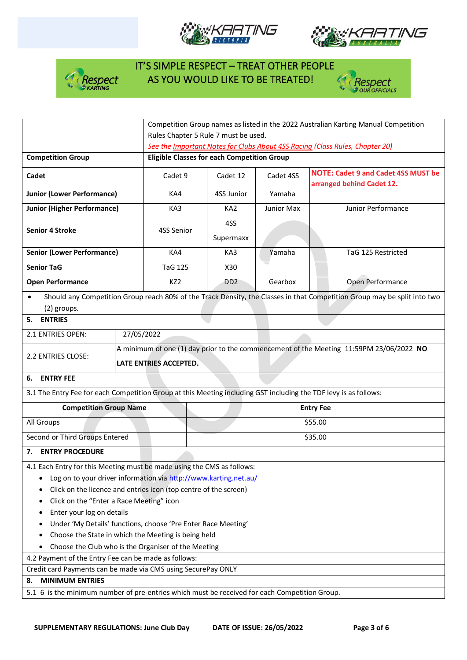







|                                                                                                                  |                                                                                               | Competition Group names as listed in the 2022 Australian Karting Manual Competition |            |                                                                                                                          |  |  |  |
|------------------------------------------------------------------------------------------------------------------|-----------------------------------------------------------------------------------------------|-------------------------------------------------------------------------------------|------------|--------------------------------------------------------------------------------------------------------------------------|--|--|--|
|                                                                                                                  |                                                                                               | Rules Chapter 5 Rule 7 must be used.                                                |            |                                                                                                                          |  |  |  |
|                                                                                                                  |                                                                                               | See the Important Notes for Clubs About 4SS Racing (Class Rules, Chapter 20)        |            |                                                                                                                          |  |  |  |
| <b>Competition Group</b>                                                                                         |                                                                                               | <b>Eligible Classes for each Competition Group</b>                                  |            |                                                                                                                          |  |  |  |
| Cadet                                                                                                            | Cadet 9                                                                                       | Cadet 12                                                                            | Cadet 4SS  | <b>NOTE: Cadet 9 and Cadet 4SS MUST be</b><br>arranged behind Cadet 12.                                                  |  |  |  |
| <b>Junior (Lower Performance)</b>                                                                                | KA4                                                                                           | 4SS Junior                                                                          | Yamaha     |                                                                                                                          |  |  |  |
| <b>Junior (Higher Performance)</b>                                                                               | KA3                                                                                           | KA <sub>2</sub>                                                                     | Junior Max | Junior Performance                                                                                                       |  |  |  |
| <b>Senior 4 Stroke</b>                                                                                           | 4SS Senior                                                                                    | 4SS<br>Supermaxx                                                                    |            |                                                                                                                          |  |  |  |
| <b>Senior (Lower Performance)</b>                                                                                | KA4                                                                                           | KA3                                                                                 | Yamaha     | TaG 125 Restricted                                                                                                       |  |  |  |
| <b>Senior TaG</b>                                                                                                | <b>TaG 125</b>                                                                                | X30                                                                                 |            |                                                                                                                          |  |  |  |
| <b>Open Performance</b>                                                                                          | KZ <sub>2</sub>                                                                               | D <sub>D</sub> <sub>2</sub>                                                         | Gearbox    | Open Performance                                                                                                         |  |  |  |
| (2) groups.                                                                                                      |                                                                                               |                                                                                     |            | Should any Competition Group reach 80% of the Track Density, the Classes in that Competition Group may be split into two |  |  |  |
| <b>ENTRIES</b><br>5.                                                                                             |                                                                                               |                                                                                     |            |                                                                                                                          |  |  |  |
| 27/05/2022<br>2.1 ENTRIES OPEN:                                                                                  |                                                                                               |                                                                                     |            |                                                                                                                          |  |  |  |
| 2.2 ENTRIES CLOSE:                                                                                               | LATE ENTRIES ACCEPTED.                                                                        |                                                                                     |            | A minimum of one (1) day prior to the commencement of the Meeting 11:59PM 23/06/2022 NO                                  |  |  |  |
| 6. ENTRY FEE                                                                                                     |                                                                                               |                                                                                     |            |                                                                                                                          |  |  |  |
| 3.1 The Entry Fee for each Competition Group at this Meeting including GST including the TDF levy is as follows: |                                                                                               |                                                                                     |            |                                                                                                                          |  |  |  |
| <b>Competition Group Name</b>                                                                                    |                                                                                               |                                                                                     |            | <b>Entry Fee</b>                                                                                                         |  |  |  |
| All Groups                                                                                                       |                                                                                               | \$55.00                                                                             |            |                                                                                                                          |  |  |  |
| Second or Third Groups Entered                                                                                   |                                                                                               |                                                                                     |            | \$35.00                                                                                                                  |  |  |  |
| 7. ENTRY PROCEDURE                                                                                               |                                                                                               |                                                                                     |            |                                                                                                                          |  |  |  |
| 4.1 Each Entry for this Meeting must be made using the CMS as follows:                                           |                                                                                               |                                                                                     |            |                                                                                                                          |  |  |  |
| Log on to your driver information via http://www.karting.net.au/<br>٠                                            |                                                                                               |                                                                                     |            |                                                                                                                          |  |  |  |
| Click on the licence and entries icon (top centre of the screen)                                                 |                                                                                               |                                                                                     |            |                                                                                                                          |  |  |  |
| Click on the "Enter a Race Meeting" icon                                                                         |                                                                                               |                                                                                     |            |                                                                                                                          |  |  |  |
| Enter your log on details                                                                                        |                                                                                               |                                                                                     |            |                                                                                                                          |  |  |  |
| Under 'My Details' functions, choose 'Pre Enter Race Meeting'                                                    |                                                                                               |                                                                                     |            |                                                                                                                          |  |  |  |
| Choose the State in which the Meeting is being held                                                              |                                                                                               |                                                                                     |            |                                                                                                                          |  |  |  |
| ٠                                                                                                                | Choose the Club who is the Organiser of the Meeting                                           |                                                                                     |            |                                                                                                                          |  |  |  |
| 4.2 Payment of the Entry Fee can be made as follows:                                                             |                                                                                               |                                                                                     |            |                                                                                                                          |  |  |  |
| Credit card Payments can be made via CMS using SecurePay ONLY                                                    |                                                                                               |                                                                                     |            |                                                                                                                          |  |  |  |
| <b>MINIMUM ENTRIES</b><br>8.                                                                                     |                                                                                               |                                                                                     |            |                                                                                                                          |  |  |  |
|                                                                                                                  | 5.1 6 is the minimum number of pre-entries which must be received for each Competition Group. |                                                                                     |            |                                                                                                                          |  |  |  |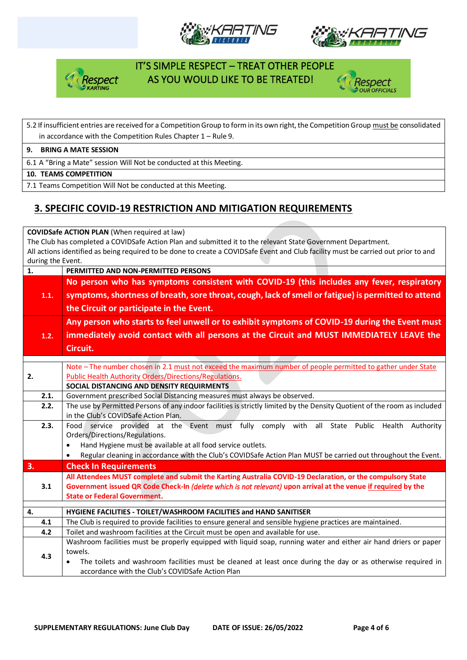







### 5.2 If insufficient entries are received for a Competition Group to form in its own right, the Competition Group must be consolidated in accordance with the Competition Rules Chapter 1 – Rule 9.

#### **9. BRING A MATE SESSION**

6.1 A "Bring a Mate" session Will Not be conducted at this Meeting.

#### **10. TEAMS COMPETITION**

7.1 Teams Competition Will Not be conducted at this Meeting.

# **3. SPECIFIC COVID-19 RESTRICTION AND MITIGATION REQUIREMENTS**

**COVIDSafe ACTION PLAN** (When required at law)

The Club has completed a COVIDSafe Action Plan and submitted it to the relevant State Government Department. All actions identified as being required to be done to create a COVIDSafe Event and Club facility must be carried out prior to and during the Event.

| $\mathbf{1}$ . | PERMITTED AND NON-PERMITTED PERSONS                                                                                       |  |  |  |  |  |  |
|----------------|---------------------------------------------------------------------------------------------------------------------------|--|--|--|--|--|--|
|                | No person who has symptoms consistent with COVID-19 (this includes any fever, respiratory                                 |  |  |  |  |  |  |
| 1.1.           | symptoms, shortness of breath, sore throat, cough, lack of smell or fatigue) is permitted to attend                       |  |  |  |  |  |  |
|                | the Circuit or participate in the Event.                                                                                  |  |  |  |  |  |  |
|                | Any person who starts to feel unwell or to exhibit symptoms of COVID-19 during the Event must                             |  |  |  |  |  |  |
| 1.2.           | immediately avoid contact with all persons at the Circuit and MUST IMMEDIATELY LEAVE the                                  |  |  |  |  |  |  |
|                |                                                                                                                           |  |  |  |  |  |  |
|                | Circuit.                                                                                                                  |  |  |  |  |  |  |
|                | Note - The number chosen in 2.1 must not exceed the maximum number of people permitted to gather under State              |  |  |  |  |  |  |
| 2.             | <b>Public Health Authority Orders/Directions/Regulations.</b>                                                             |  |  |  |  |  |  |
|                | SOCIAL DISTANCING AND DENSITY REQUIRMENTS                                                                                 |  |  |  |  |  |  |
| 2.1.           | Government prescribed Social Distancing measures must always be observed.                                                 |  |  |  |  |  |  |
| 2.2.           | The use by Permitted Persons of any indoor facilities is strictly limited by the Density Quotient of the room as included |  |  |  |  |  |  |
|                | in the Club's COVIDSafe Action Plan.                                                                                      |  |  |  |  |  |  |
| 2.3.           | service provided at the Event must fully comply with all State Public Health<br>Food<br>Authority                         |  |  |  |  |  |  |
|                | Orders/Directions/Regulations.                                                                                            |  |  |  |  |  |  |
|                | Hand Hygiene must be available at all food service outlets.<br>$\bullet$                                                  |  |  |  |  |  |  |
|                | Regular cleaning in accordance with the Club's COVIDSafe Action Plan MUST be carried out throughout the Event.            |  |  |  |  |  |  |
| 3.             | <b>Check In Requirements</b>                                                                                              |  |  |  |  |  |  |
|                | All Attendees MUST complete and submit the Karting Australia COVID-19 Declaration, or the compulsory State                |  |  |  |  |  |  |
| 3.1            | Government issued QR Code Check-In (delete which is not relevant) upon arrival at the venue if required by the            |  |  |  |  |  |  |
|                | <b>State or Federal Government.</b>                                                                                       |  |  |  |  |  |  |
| 4.             | HYGIENE FACILITIES - TOILET/WASHROOM FACILITIES and HAND SANITISER                                                        |  |  |  |  |  |  |
| 4.1            | The Club is required to provide facilities to ensure general and sensible hygiene practices are maintained.               |  |  |  |  |  |  |
| 4.2            | Toilet and washroom facilities at the Circuit must be open and available for use.                                         |  |  |  |  |  |  |
|                | Washroom facilities must be properly equipped with liquid soap, running water and either air hand driers or paper         |  |  |  |  |  |  |
| 4.3            | towels.                                                                                                                   |  |  |  |  |  |  |
|                | The toilets and washroom facilities must be cleaned at least once during the day or as otherwise required in              |  |  |  |  |  |  |
|                | accordance with the Club's COVIDSafe Action Plan                                                                          |  |  |  |  |  |  |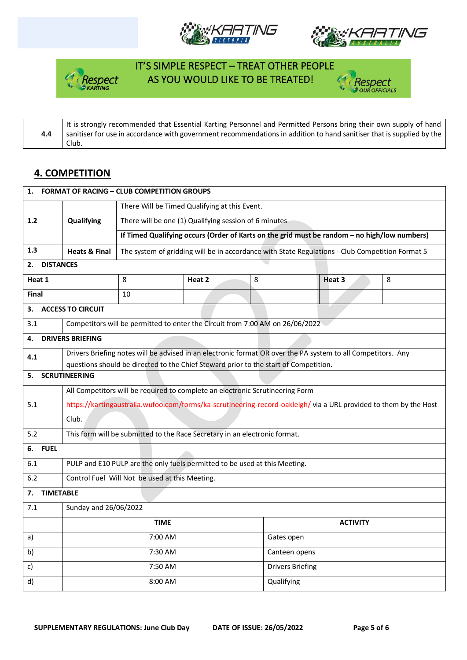







**4.4** It is strongly recommended that Essential Karting Personnel and Permitted Persons bring their own supply of hand sanitiser for use in accordance with government recommendations in addition to hand sanitiser that is supplied by the Club.

#### **4. COMPETITION**

| <b>FORMAT OF RACING - CLUB COMPETITION GROUPS</b><br>1. |                                                                                                                  |                                                                                                              |                                                       |                                                                                                 |                 |   |  |
|---------------------------------------------------------|------------------------------------------------------------------------------------------------------------------|--------------------------------------------------------------------------------------------------------------|-------------------------------------------------------|-------------------------------------------------------------------------------------------------|-----------------|---|--|
|                                                         |                                                                                                                  | There Will be Timed Qualifying at this Event.                                                                |                                                       |                                                                                                 |                 |   |  |
| 1.2                                                     | Qualifying                                                                                                       |                                                                                                              | There will be one (1) Qualifying session of 6 minutes |                                                                                                 |                 |   |  |
|                                                         |                                                                                                                  | If Timed Qualifying occurs (Order of Karts on the grid must be random - no high/low numbers)                 |                                                       |                                                                                                 |                 |   |  |
| 1.3                                                     | <b>Heats &amp; Final</b>                                                                                         |                                                                                                              |                                                       | The system of gridding will be in accordance with State Regulations - Club Competition Format 5 |                 |   |  |
| <b>DISTANCES</b><br>2.                                  |                                                                                                                  |                                                                                                              |                                                       |                                                                                                 |                 |   |  |
| Heat 1                                                  |                                                                                                                  | 8                                                                                                            | Heat 2                                                | 8                                                                                               | Heat 3          | 8 |  |
| Final                                                   |                                                                                                                  | 10                                                                                                           |                                                       |                                                                                                 |                 |   |  |
| 3.                                                      | <b>ACCESS TO CIRCUIT</b>                                                                                         |                                                                                                              |                                                       |                                                                                                 |                 |   |  |
| 3.1                                                     |                                                                                                                  | Competitors will be permitted to enter the Circuit from 7:00 AM on 26/06/2022                                |                                                       |                                                                                                 |                 |   |  |
| 4.                                                      | <b>DRIVERS BRIEFING</b>                                                                                          |                                                                                                              |                                                       |                                                                                                 |                 |   |  |
| 4.1                                                     |                                                                                                                  | Drivers Briefing notes will be advised in an electronic format OR over the PA system to all Competitors. Any |                                                       |                                                                                                 |                 |   |  |
|                                                         |                                                                                                                  | questions should be directed to the Chief Steward prior to the start of Competition.                         |                                                       |                                                                                                 |                 |   |  |
| 5.                                                      | <b>SCRUTINEERING</b>                                                                                             |                                                                                                              |                                                       |                                                                                                 |                 |   |  |
|                                                         | All Competitors will be required to complete an electronic Scrutineering Form                                    |                                                                                                              |                                                       |                                                                                                 |                 |   |  |
| 5.1                                                     | https://kartingaustralia.wufoo.com/forms/ka-scrutineering-record-oakleigh/via a URL provided to them by the Host |                                                                                                              |                                                       |                                                                                                 |                 |   |  |
|                                                         | Club.                                                                                                            |                                                                                                              |                                                       |                                                                                                 |                 |   |  |
| 5.2                                                     | This form will be submitted to the Race Secretary in an electronic format.                                       |                                                                                                              |                                                       |                                                                                                 |                 |   |  |
| <b>FUEL</b><br>6.                                       |                                                                                                                  |                                                                                                              |                                                       |                                                                                                 |                 |   |  |
| 6.1                                                     | PULP and E10 PULP are the only fuels permitted to be used at this Meeting.                                       |                                                                                                              |                                                       |                                                                                                 |                 |   |  |
| $6.2$                                                   | Control Fuel Will Not be used at this Meeting.                                                                   |                                                                                                              |                                                       |                                                                                                 |                 |   |  |
| <b>TIMETABLE</b><br>7.                                  |                                                                                                                  |                                                                                                              |                                                       |                                                                                                 |                 |   |  |
| 7.1                                                     | Sunday and 26/06/2022                                                                                            |                                                                                                              |                                                       |                                                                                                 |                 |   |  |
|                                                         |                                                                                                                  | <b>TIME</b>                                                                                                  |                                                       |                                                                                                 | <b>ACTIVITY</b> |   |  |
| a)                                                      |                                                                                                                  | 7:00 AM                                                                                                      |                                                       | Gates open                                                                                      |                 |   |  |
| b)                                                      |                                                                                                                  | 7:30 AM                                                                                                      |                                                       | Canteen opens                                                                                   |                 |   |  |
| C)                                                      |                                                                                                                  | 7:50 AM                                                                                                      |                                                       | <b>Drivers Briefing</b>                                                                         |                 |   |  |
| d)                                                      |                                                                                                                  | 8:00 AM                                                                                                      |                                                       | Qualifying                                                                                      |                 |   |  |